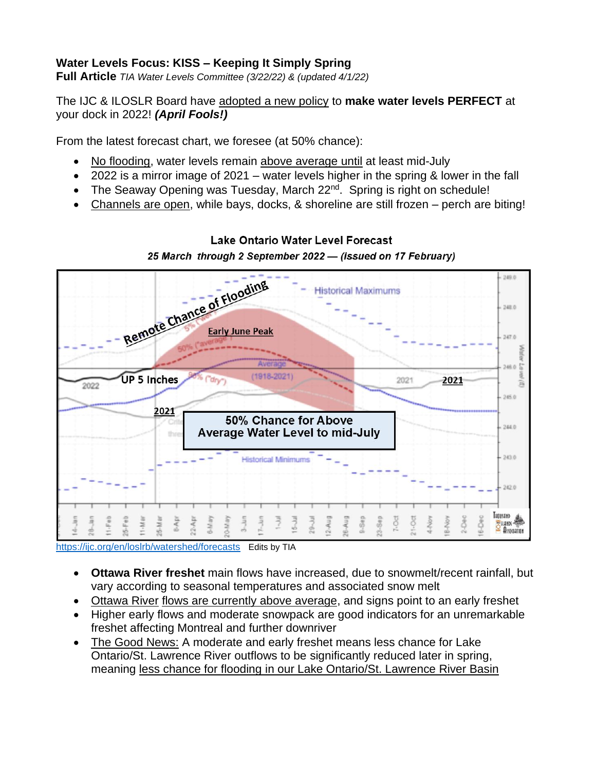### **Water Levels Focus: KISS – Keeping It Simply Spring**

**Full Article** *TIA Water Levels Committee (3/22/22) & (updated 4/1/22)*

#### The IJC & ILOSLR Board have adopted a new policy to **make water levels PERFECT** at your dock in 2022! *(April Fools!)*

From the latest forecast chart, we foresee (at 50% chance):

- No flooding, water levels remain above average until at least mid-July
- 2022 is a mirror image of 2021 water levels higher in the spring & lower in the fall
- The Seaway Opening was Tuesday, March 22<sup>nd</sup>. Spring is right on schedule!
- Channels are open, while bays, docks, & shoreline are still frozen perch are biting!



Lake Ontario Water Level Forecast 25 March through 2 September 2022 - (issued on 17 February)

<https://ijc.org/en/loslrb/watershed/forecasts> Edits by TIA

- **Ottawa River freshet** main flows have increased, due to snowmelt/recent rainfall, but vary according to seasonal temperatures and associated snow melt
- Ottawa River flows are currently above average, and signs point to an early freshet
- Higher early flows and moderate snowpack are good indicators for an unremarkable freshet affecting Montreal and further downriver
- The Good News: A moderate and early freshet means less chance for Lake Ontario/St. Lawrence River outflows to be significantly reduced later in spring, meaning less chance for flooding in our Lake Ontario/St. Lawrence River Basin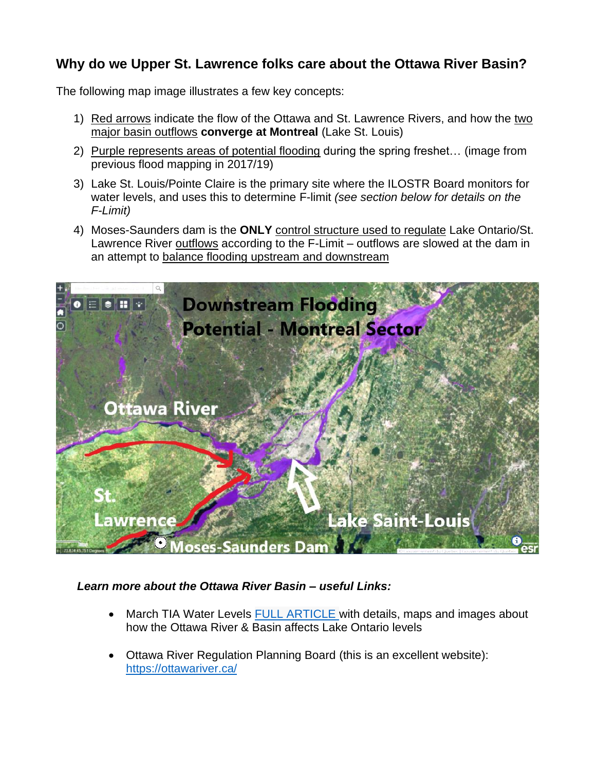# **Why do we Upper St. Lawrence folks care about the Ottawa River Basin?**

The following map image illustrates a few key concepts:

- 1) Red arrows indicate the flow of the Ottawa and St. Lawrence Rivers, and how the two major basin outflows **converge at Montreal** (Lake St. Louis)
- 2) Purple represents areas of potential flooding during the spring freshet… (image from previous flood mapping in 2017/19)
- 3) Lake St. Louis/Pointe Claire is the primary site where the ILOSTR Board monitors for water levels, and uses this to determine F-limit *(see section below for details on the F-Limit)*
- 4) Moses-Saunders dam is the **ONLY** control structure used to regulate Lake Ontario/St. Lawrence River outflows according to the F-Limit – outflows are slowed at the dam in an attempt to balance flooding upstream and downstream



#### *Learn more about the Ottawa River Basin – useful Links:*

- March TIA Water Levels **[FULL ARTICLE](https://www.thousandislandsassociation.com/water-levels-march-2022-river-talk-full-article/)** with details, maps and images about how the Ottawa River & Basin affects Lake Ontario levels
- Ottawa River Regulation Planning Board (this is an excellent website): <https://ottawariver.ca/>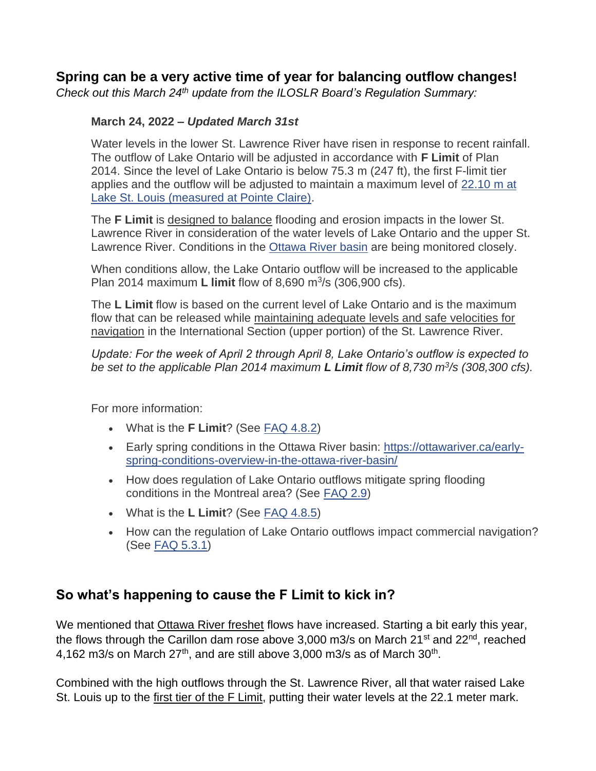# **Spring can be a very active time of year for balancing outflow changes!**

*Check out this March 24th update from the ILOSLR Board's Regulation Summary:*

#### **March 24, 2022 –** *Updated March 31st*

Water levels in the lower St. Lawrence River have risen in response to recent rainfall. The outflow of Lake Ontario will be adjusted in accordance with **F Limit** of Plan 2014. Since the level of Lake Ontario is below 75.3 m (247 ft), the first F-limit tier applies and the outflow will be adjusted to maintain a maximum level of [22.10 m at](https://wateroffice.ec.gc.ca/report/real_time_e.html?stn=02OA039)  [Lake St. Louis \(measured at Pointe Claire\).](https://wateroffice.ec.gc.ca/report/real_time_e.html?stn=02OA039)

The **F Limit** is designed to balance flooding and erosion impacts in the lower St. Lawrence River in consideration of the water levels of Lake Ontario and the upper St. Lawrence River. Conditions in the [Ottawa River basin](https://ottawariver.ca/) are being monitored closely.

When conditions allow, the Lake Ontario outflow will be increased to the applicable Plan 2014 maximum **L limit** flow of 8,690 m<sup>3</sup>/s (306,900 cfs).

The **L Limit** flow is based on the current level of Lake Ontario and is the maximum flow that can be released while maintaining adequate levels and safe velocities for navigation in the International Section (upper portion) of the St. Lawrence River.

*Update: For the week of April 2 through April 8, Lake Ontario's outflow is expected to be set to the applicable Plan 2014 maximum L Limit flow of 8,730 m<sup>3</sup> /s (308,300 cfs).*

For more information:

- What is the **F Limit**? (See [FAQ 4.8.2\)](https://ijc.org/en/loslrb/watershed/faq/4)
- Early spring conditions in the Ottawa River basin: [https://ottawariver.ca/early](https://ottawariver.ca/early-spring-conditions-overview-in-the-ottawa-river-basin/)[spring-conditions-overview-in-the-ottawa-river-basin/](https://ottawariver.ca/early-spring-conditions-overview-in-the-ottawa-river-basin/)
- How does regulation of Lake Ontario outflows mitigate spring flooding conditions in the Montreal area? (See [FAQ 2.9\)](https://ijc.org/en/loslrb/watershed/faq/2)
- What is the **L Limit**? (See [FAQ 4.8.5\)](https://ijc.org/en/loslrb/watershed/faq/4)
- How can the regulation of Lake Ontario outflows impact commercial navigation? (See [FAQ 5.3.1\)](https://ijc.org/en/loslrb/watershed/faq/5)

# **So what's happening to cause the F Limit to kick in?**

We mentioned that **Ottawa River freshet** flows have increased. Starting a bit early this year, the flows through the Carillon dam rose above 3,000 m3/s on March 21<sup>st</sup> and 22<sup>nd</sup>, reached 4,162 m3/s on March  $27<sup>th</sup>$ , and are still above 3,000 m3/s as of March  $30<sup>th</sup>$ .

Combined with the high outflows through the St. Lawrence River, all that water raised Lake St. Louis up to the first tier of the F Limit, putting their water levels at the 22.1 meter mark.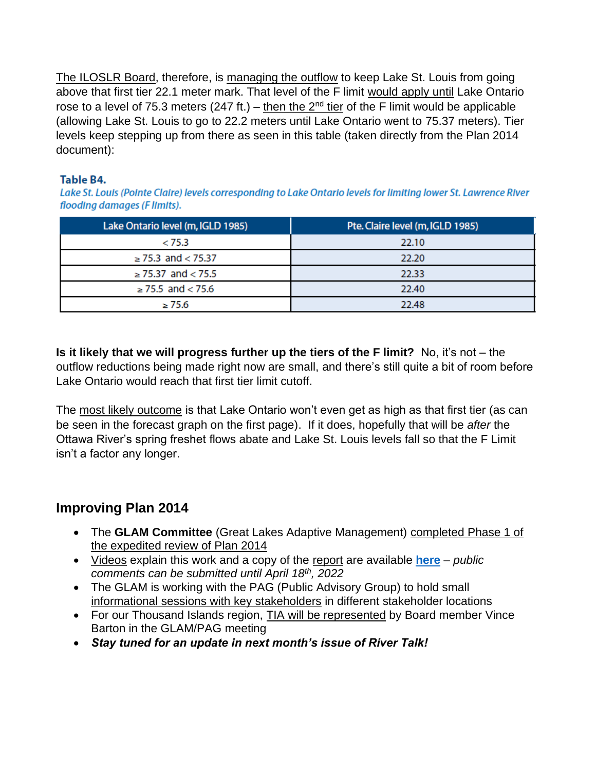The ILOSLR Board, therefore, is managing the outflow to keep Lake St. Louis from going above that first tier 22.1 meter mark. That level of the F limit would apply until Lake Ontario rose to a level of 75.3 meters (247 ft.) – then the  $2<sup>nd</sup>$  tier of the F limit would be applicable (allowing Lake St. Louis to go to 22.2 meters until Lake Ontario went to 75.37 meters). Tier levels keep stepping up from there as seen in this table (taken directly from the Plan 2014 document):

#### Table B4.

Lake St. Louis (Pointe Claire) levels corresponding to Lake Ontario levels for limiting lower St. Lawrence River flooding damages (Flimits).

| Lake Ontario level (m, IGLD 1985) | Pte. Claire level (m, IGLD 1985) |
|-----------------------------------|----------------------------------|
| < 75.3                            | 22.10                            |
| $\ge$ 75.3 and < 75.37            | 22.20                            |
| $\geq$ 75.37 and < 75.5           | 22.33                            |
| $\ge$ 75.5 and < 75.6             | 22.40                            |
| $\geq$ 75.6                       | 22.48                            |

**Is it likely that we will progress further up the tiers of the F limit?** No, it's not – the outflow reductions being made right now are small, and there's still quite a bit of room before Lake Ontario would reach that first tier limit cutoff.

The most likely outcome is that Lake Ontario won't even get as high as that first tier (as can be seen in the forecast graph on the first page). If it does, hopefully that will be *after* the Ottawa River's spring freshet flows abate and Lake St. Louis levels fall so that the F Limit isn't a factor any longer.

# **Improving Plan 2014**

- The **GLAM Committee** (Great Lakes Adaptive Management) completed Phase 1 of the expedited review of Plan 2014
- Videos explain this work and a copy of the report are available **[here](https://ijc.org/en/glam)** *public comments can be submitted until April 18th , 2022*
- The GLAM is working with the PAG (Public Advisory Group) to hold small informational sessions with key stakeholders in different stakeholder locations
- For our Thousand Islands region, **TIA will be represented by Board member Vince** Barton in the GLAM/PAG meeting
- *Stay tuned for an update in next month's issue of River Talk!*